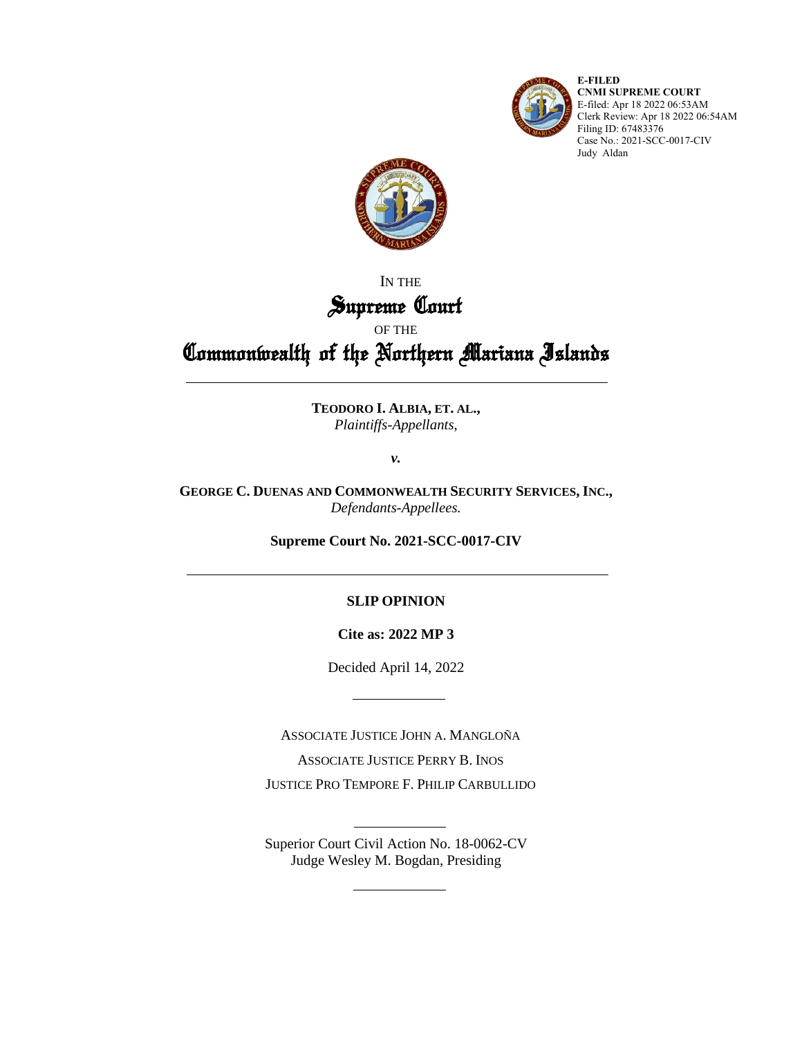

**E-FILED CNMI SUPREME COURT** E-filed: Apr 18 2022 06:53AM Clerk Review: Apr 18 2022 06:54AM Filing ID: 67483376 Case No.: 2021-SCC-0017-CIV Judy Aldan



IN THE

### Supreme Court OF THE

# Commonwealth of the Northern Mariana Islands

**TEODORO I. ALBIA, ET. AL.,** *Plaintiffs-Appellants,*

*v.*

**GEORGE C. DUENAS AND COMMONWEALTH SECURITY SERVICES, INC.,** *Defendants-Appellees.*

**Supreme Court No. 2021-SCC-0017-CIV**

#### **SLIP OPINION**

**Cite as: 2022 MP 3**

Decided April 14, 2022

ASSOCIATE JUSTICE JOHN A. MANGLOÑA

ASSOCIATE JUSTICE PERRY B. INOS

JUSTICE PRO TEMPORE F. PHILIP CARBULLIDO

Superior Court Civil Action No. 18-0062-CV Judge Wesley M. Bogdan, Presiding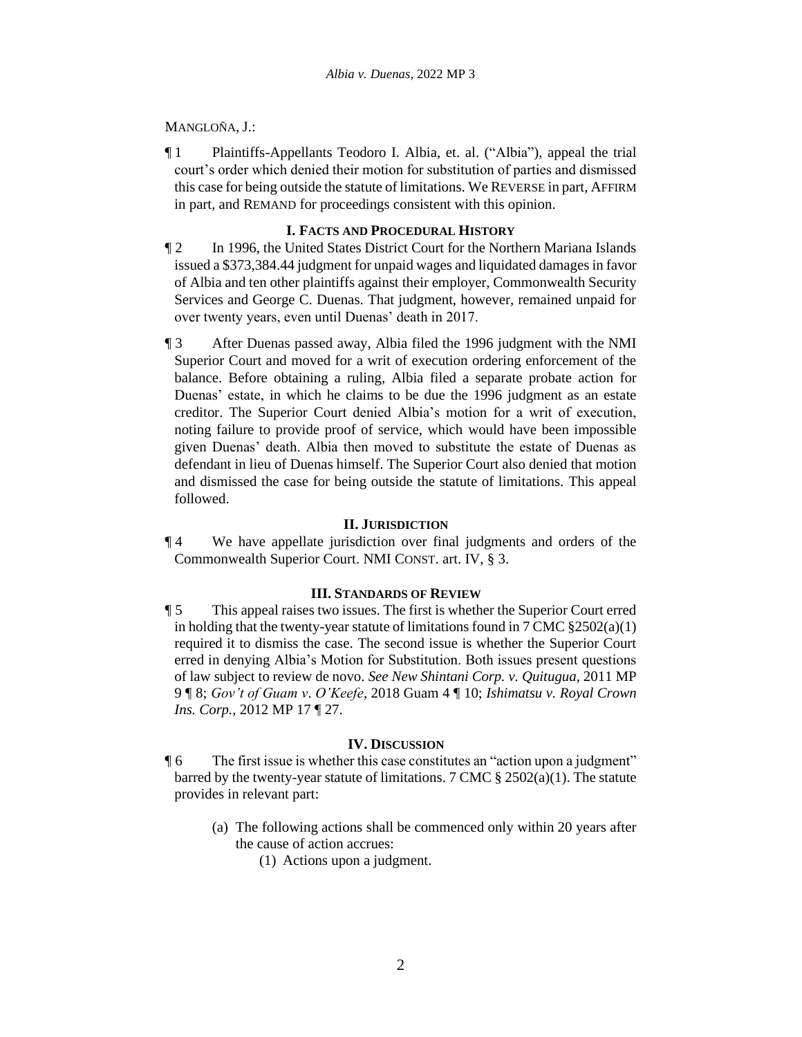#### MANGLOÑA, J.:

¶ 1 Plaintiffs-Appellants Teodoro I. Albia, et. al. ("Albia"), appeal the trial court's order which denied their motion for substitution of parties and dismissed this case for being outside the statute of limitations. We REVERSE in part, AFFIRM in part, and REMAND for proceedings consistent with this opinion.

#### **I. FACTS AND PROCEDURAL HISTORY**

- ¶ 2 In 1996, the United States District Court for the Northern Mariana Islands issued a \$373,384.44 judgment for unpaid wages and liquidated damages in favor of Albia and ten other plaintiffs against their employer, Commonwealth Security Services and George C. Duenas. That judgment, however, remained unpaid for over twenty years, even until Duenas' death in 2017.
- ¶ 3 After Duenas passed away, Albia filed the 1996 judgment with the NMI Superior Court and moved for a writ of execution ordering enforcement of the balance. Before obtaining a ruling, Albia filed a separate probate action for Duenas' estate, in which he claims to be due the 1996 judgment as an estate creditor. The Superior Court denied Albia's motion for a writ of execution, noting failure to provide proof of service, which would have been impossible given Duenas' death. Albia then moved to substitute the estate of Duenas as defendant in lieu of Duenas himself. The Superior Court also denied that motion and dismissed the case for being outside the statute of limitations. This appeal followed.

#### **II. JURISDICTION**

¶ 4 We have appellate jurisdiction over final judgments and orders of the Commonwealth Superior Court. NMI CONST. art. IV, § 3.

#### **III. STANDARDS OF REVIEW**

¶ 5 This appeal raises two issues. The first is whether the Superior Court erred in holding that the twenty-year statute of limitations found in  $7 \text{ CMC } \frac{8}{2} 502(a)(1)$ required it to dismiss the case. The second issue is whether the Superior Court erred in denying Albia's Motion for Substitution. Both issues present questions of law subject to review de novo. *See New Shintani Corp. v. Quitugua*, 2011 MP 9 ¶ 8; *Gov't of Guam v*. *O'Keefe*, 2018 Guam 4 ¶ 10; *Ishimatsu v. Royal Crown Ins. Corp.*, 2012 MP 17 ¶ 27.

#### **IV. DISCUSSION**

¶ 6 The first issue is whether this case constitutes an "action upon a judgment" barred by the twenty-year statute of limitations. 7 CMC  $\S 2502(a)(1)$ . The statute provides in relevant part:

- (a) The following actions shall be commenced only within 20 years after the cause of action accrues:
	- (1) Actions upon a judgment.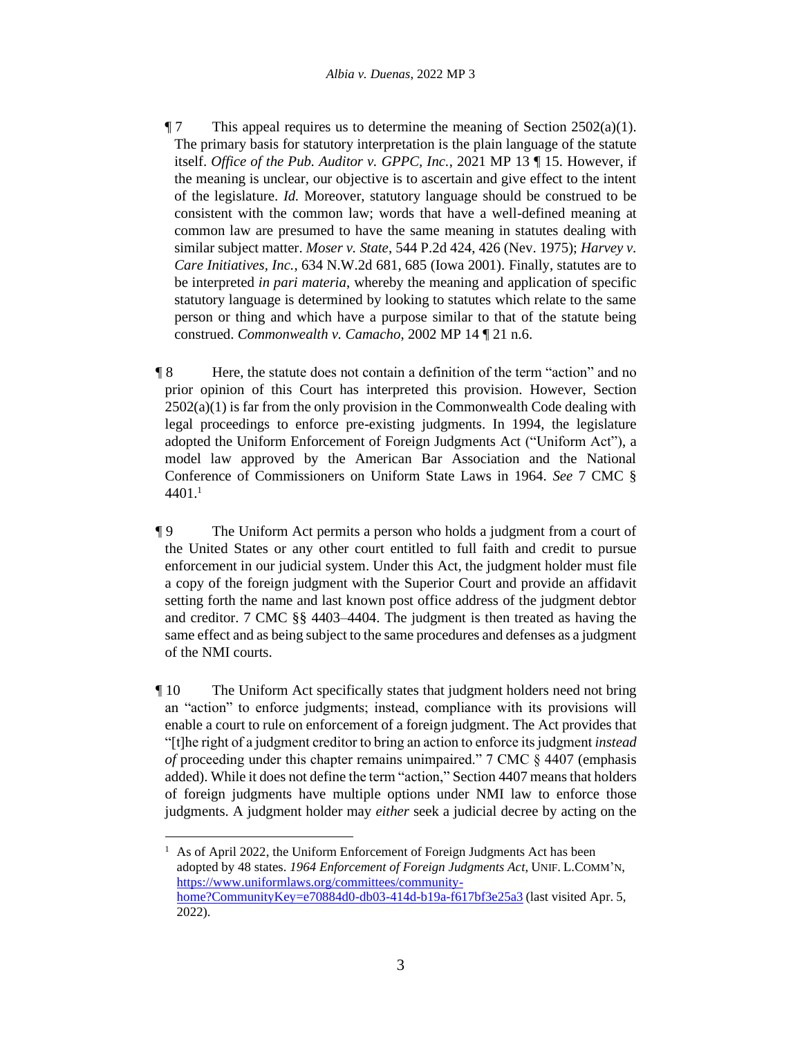- $\P$  7 This appeal requires us to determine the meaning of Section 2502(a)(1). The primary basis for statutory interpretation is the plain language of the statute itself. *Office of the Pub. Auditor v. GPPC, Inc.*, 2021 MP 13 ¶ 15. However, if the meaning is unclear, our objective is to ascertain and give effect to the intent of the legislature. *Id.* Moreover, statutory language should be construed to be consistent with the common law; words that have a well-defined meaning at common law are presumed to have the same meaning in statutes dealing with similar subject matter. *Moser v. State*, 544 P.2d 424, 426 (Nev. 1975); *Harvey v. Care Initiatives, Inc.*, 634 N.W.2d 681, 685 (Iowa 2001). Finally, statutes are to be interpreted *in pari materia*, whereby the meaning and application of specific statutory language is determined by looking to statutes which relate to the same person or thing and which have a purpose similar to that of the statute being construed. *Commonwealth v. Camacho*, 2002 MP 14 ¶ 21 n.6.
- ¶ 8 Here, the statute does not contain a definition of the term "action" and no prior opinion of this Court has interpreted this provision. However, Section  $2502(a)(1)$  is far from the only provision in the Commonwealth Code dealing with legal proceedings to enforce pre-existing judgments. In 1994, the legislature adopted the Uniform Enforcement of Foreign Judgments Act ("Uniform Act"), a model law approved by the American Bar Association and the National Conference of Commissioners on Uniform State Laws in 1964. *See* 7 CMC § 4401. 1
- ¶ 9 The Uniform Act permits a person who holds a judgment from a court of the United States or any other court entitled to full faith and credit to pursue enforcement in our judicial system. Under this Act, the judgment holder must file a copy of the foreign judgment with the Superior Court and provide an affidavit setting forth the name and last known post office address of the judgment debtor and creditor. 7 CMC §§ 4403–4404. The judgment is then treated as having the same effect and as being subject to the same procedures and defenses as a judgment of the NMI courts.
- ¶ 10 The Uniform Act specifically states that judgment holders need not bring an "action" to enforce judgments; instead, compliance with its provisions will enable a court to rule on enforcement of a foreign judgment. The Act provides that "[t]he right of a judgment creditor to bring an action to enforce its judgment *instead of* proceeding under this chapter remains unimpaired." 7 CMC § 4407 (emphasis added). While it does not define the term "action," Section 4407 means that holders of foreign judgments have multiple options under NMI law to enforce those judgments. A judgment holder may *either* seek a judicial decree by acting on the

<sup>1</sup> As of April 2022, the Uniform Enforcement of Foreign Judgments Act has been adopted by 48 states. *1964 Enforcement of Foreign Judgments Act*, UNIF. L.COMM'N, [https://www.uniformlaws.org/committees/community](https://www.uniformlaws.org/committees/community-home?CommunityKey=e70884d0-db03-414d-b19a-f617bf3e25a3)[home?CommunityKey=e70884d0-db03-414d-b19a-f617bf3e25a3](https://www.uniformlaws.org/committees/community-home?CommunityKey=e70884d0-db03-414d-b19a-f617bf3e25a3) (last visited Apr. 5, 2022).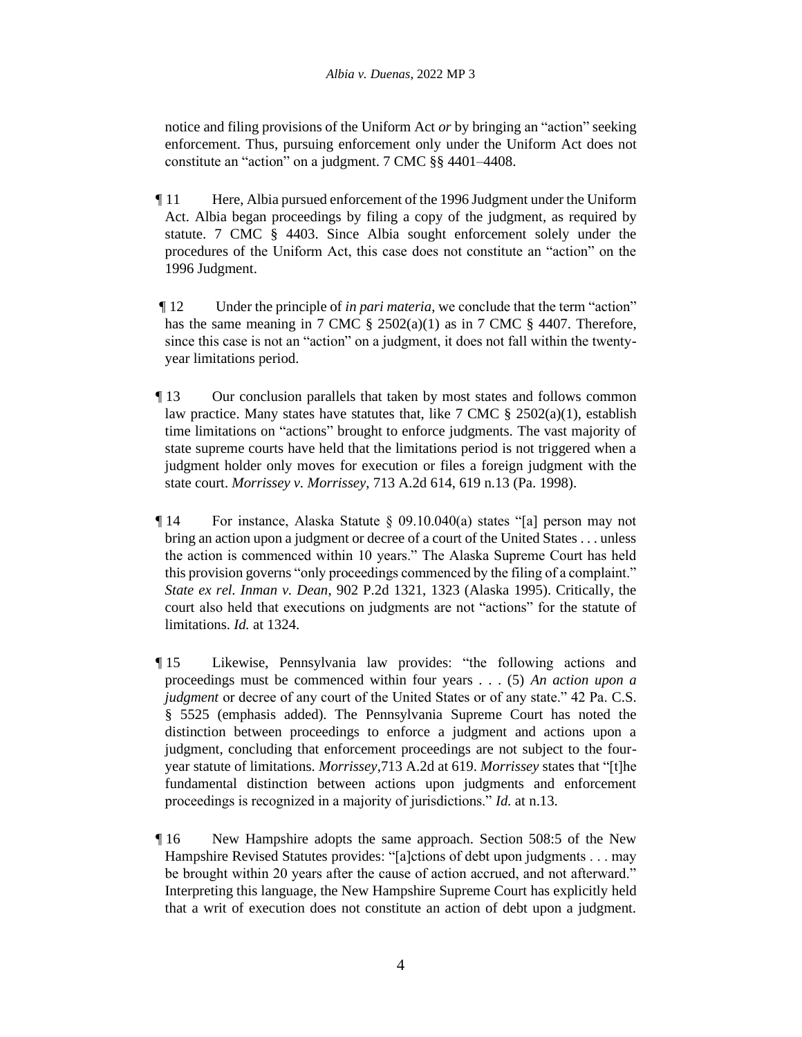notice and filing provisions of the Uniform Act *or* by bringing an "action" seeking enforcement. Thus, pursuing enforcement only under the Uniform Act does not constitute an "action" on a judgment. 7 CMC §§ 4401–4408.

- ¶ 11 Here, Albia pursued enforcement of the 1996 Judgment under the Uniform Act. Albia began proceedings by filing a copy of the judgment, as required by statute. 7 CMC § 4403. Since Albia sought enforcement solely under the procedures of the Uniform Act, this case does not constitute an "action" on the 1996 Judgment.
- ¶ 12 Under the principle of *in pari materia*, we conclude that the term "action" has the same meaning in 7 CMC § 2502(a)(1) as in 7 CMC § 4407. Therefore, since this case is not an "action" on a judgment, it does not fall within the twentyyear limitations period.
- ¶ 13 Our conclusion parallels that taken by most states and follows common law practice. Many states have statutes that, like 7 CMC  $\S$  2502(a)(1), establish time limitations on "actions" brought to enforce judgments. The vast majority of state supreme courts have held that the limitations period is not triggered when a judgment holder only moves for execution or files a foreign judgment with the state court. *Morrissey v. Morrissey*, 713 A.2d 614, 619 n.13 (Pa. 1998).
- $\P$  14 For instance, Alaska Statute  $\S$  09.10.040(a) states "[a] person may not bring an action upon a judgment or decree of a court of the United States . . . unless the action is commenced within 10 years." The Alaska Supreme Court has held this provision governs "only proceedings commenced by the filing of a complaint." *State ex rel. Inman v. Dean*, 902 P.2d 1321, 1323 (Alaska 1995). Critically, the court also held that executions on judgments are not "actions" for the statute of limitations. *Id.* at 1324.
- ¶ 15 Likewise, Pennsylvania law provides: "the following actions and proceedings must be commenced within four years . . . (5) *An action upon a judgment* or decree of any court of the United States or of any state." 42 Pa. C.S. § 5525 (emphasis added). The Pennsylvania Supreme Court has noted the distinction between proceedings to enforce a judgment and actions upon a judgment, concluding that enforcement proceedings are not subject to the fouryear statute of limitations. *Morrissey*,713 A.2d at 619. *Morrissey* states that "[t]he fundamental distinction between actions upon judgments and enforcement proceedings is recognized in a majority of jurisdictions." *Id.* at n.13.
- ¶ 16 New Hampshire adopts the same approach. Section 508:5 of the New Hampshire Revised Statutes provides: "[a]ctions of debt upon judgments . . . may be brought within 20 years after the cause of action accrued, and not afterward." Interpreting this language, the New Hampshire Supreme Court has explicitly held that a writ of execution does not constitute an action of debt upon a judgment.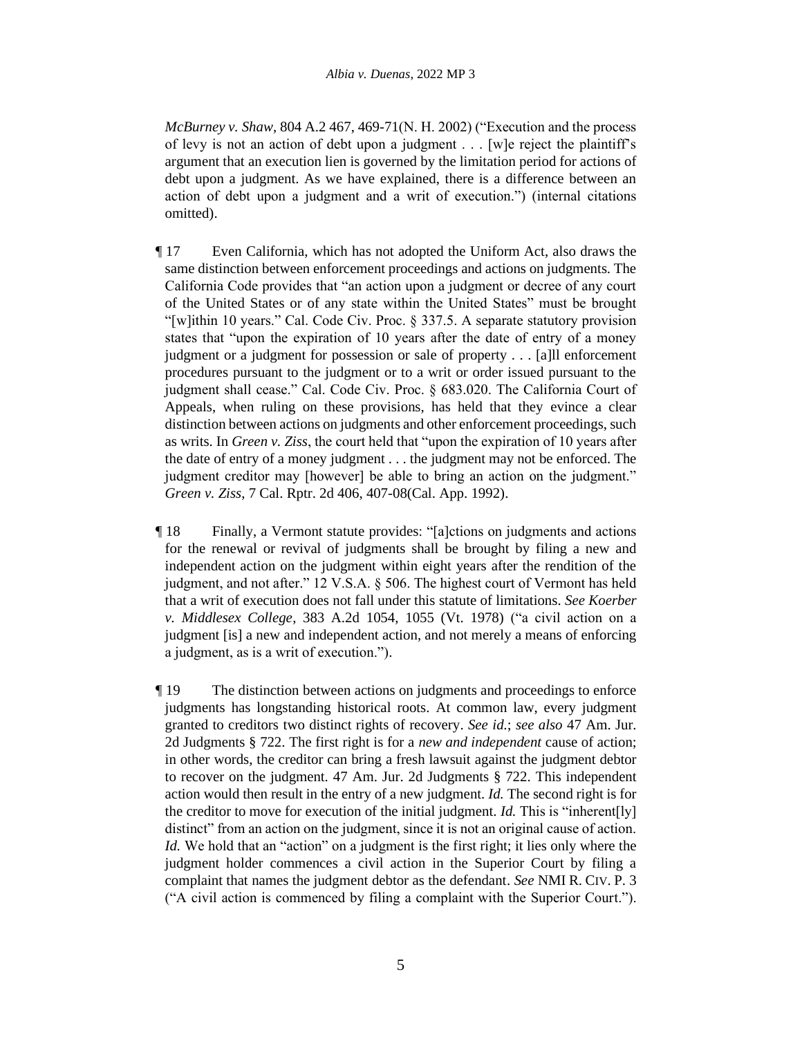*McBurney v. Shaw*, 804 A.2 467, 469-71(N. H. 2002) ("Execution and the process of levy is not an action of debt upon a judgment . . . [w]e reject the plaintiff's argument that an execution lien is governed by the limitation period for actions of debt upon a judgment. As we have explained, there is a difference between an action of debt upon a judgment and a writ of execution.") (internal citations omitted).

- ¶ 17 Even California, which has not adopted the Uniform Act, also draws the same distinction between enforcement proceedings and actions on judgments. The California Code provides that "an action upon a judgment or decree of any court of the United States or of any state within the United States" must be brought "[w]ithin 10 years." Cal. Code Civ. Proc. § 337.5. A separate statutory provision states that "upon the expiration of 10 years after the date of entry of a money judgment or a judgment for possession or sale of property . . . [a]ll enforcement procedures pursuant to the judgment or to a writ or order issued pursuant to the judgment shall cease." Cal. Code Civ. Proc. § 683.020. The California Court of Appeals, when ruling on these provisions, has held that they evince a clear distinction between actions on judgments and other enforcement proceedings, such as writs. In *Green v. Ziss*, the court held that "upon the expiration of 10 years after the date of entry of a money judgment . . . the judgment may not be enforced. The judgment creditor may [however] be able to bring an action on the judgment." *Green v. Ziss*, 7 Cal. Rptr. 2d 406, 407-08(Cal. App. 1992).
- ¶ 18 Finally, a Vermont statute provides: "[a]ctions on judgments and actions for the renewal or revival of judgments shall be brought by filing a new and independent action on the judgment within eight years after the rendition of the judgment, and not after." 12 V.S.A. § 506. The highest court of Vermont has held that a writ of execution does not fall under this statute of limitations. *See Koerber v. Middlesex College*, 383 A.2d 1054, 1055 (Vt. 1978) ("a civil action on a judgment [is] a new and independent action, and not merely a means of enforcing a judgment, as is a writ of execution.").
- ¶ 19 The distinction between actions on judgments and proceedings to enforce judgments has longstanding historical roots. At common law, every judgment granted to creditors two distinct rights of recovery. *See id.*; *see also* 47 Am. Jur. 2d Judgments § 722. The first right is for a *new and independent* cause of action; in other words, the creditor can bring a fresh lawsuit against the judgment debtor to recover on the judgment. 47 Am. Jur. 2d Judgments § 722. This independent action would then result in the entry of a new judgment. *Id.* The second right is for the creditor to move for execution of the initial judgment. *Id.* This is "inherent[ly] distinct" from an action on the judgment, since it is not an original cause of action. *Id.* We hold that an "action" on a judgment is the first right; it lies only where the judgment holder commences a civil action in the Superior Court by filing a complaint that names the judgment debtor as the defendant. *See* NMI R. CIV. P. 3 ("A civil action is commenced by filing a complaint with the Superior Court.").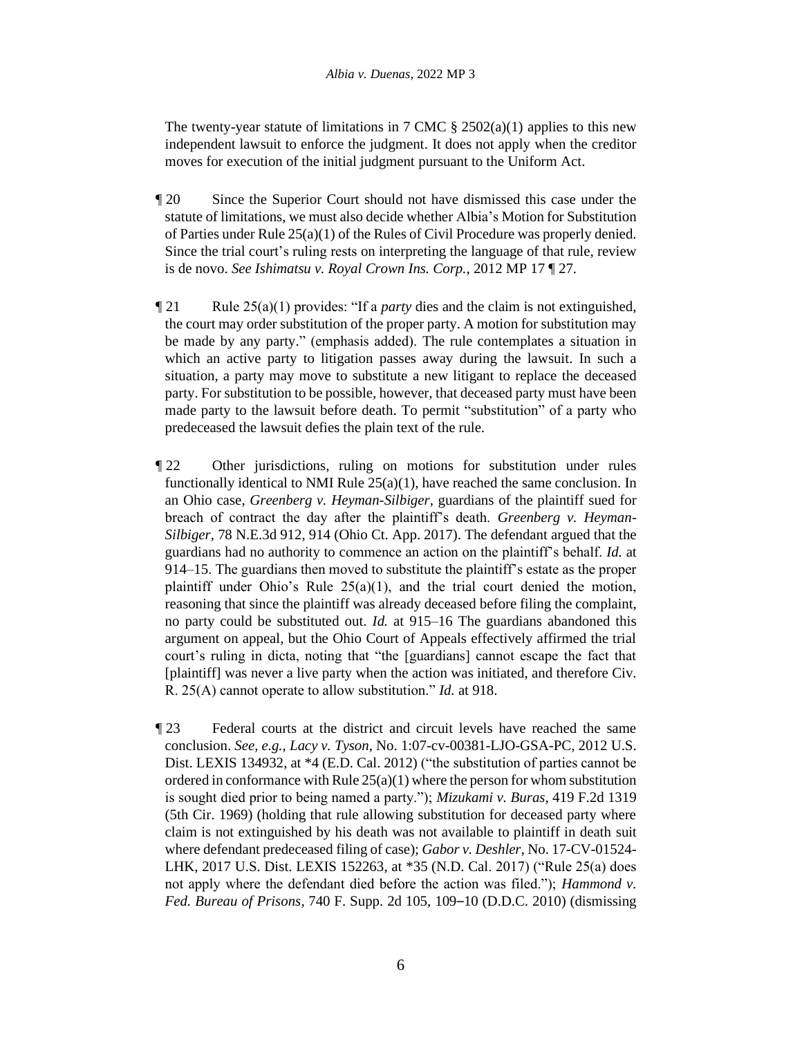The twenty-year statute of limitations in 7 CMC  $\S 2502(a)(1)$  applies to this new independent lawsuit to enforce the judgment. It does not apply when the creditor moves for execution of the initial judgment pursuant to the Uniform Act.

- ¶ 20 Since the Superior Court should not have dismissed this case under the statute of limitations, we must also decide whether Albia's Motion for Substitution of Parties under Rule  $25(a)(1)$  of the Rules of Civil Procedure was properly denied. Since the trial court's ruling rests on interpreting the language of that rule, review is de novo. *See Ishimatsu v. Royal Crown Ins. Corp.*, 2012 MP 17 ¶ 27.
- $\P$  21 Rule 25(a)(1) provides: "If a *party* dies and the claim is not extinguished, the court may order substitution of the proper party. A motion for substitution may be made by any party." (emphasis added). The rule contemplates a situation in which an active party to litigation passes away during the lawsuit. In such a situation, a party may move to substitute a new litigant to replace the deceased party. For substitution to be possible, however, that deceased party must have been made party to the lawsuit before death. To permit "substitution" of a party who predeceased the lawsuit defies the plain text of the rule.
- ¶ 22 Other jurisdictions, ruling on motions for substitution under rules functionally identical to NMI Rule 25(a)(1), have reached the same conclusion. In an Ohio case, *Greenberg v. Heyman-Silbiger*, guardians of the plaintiff sued for breach of contract the day after the plaintiff's death. *Greenberg v. Heyman-Silbiger*, 78 N.E.3d 912, 914 (Ohio Ct. App. 2017). The defendant argued that the guardians had no authority to commence an action on the plaintiff's behalf. *Id.* at 914–15. The guardians then moved to substitute the plaintiff's estate as the proper plaintiff under Ohio's Rule  $25(a)(1)$ , and the trial court denied the motion, reasoning that since the plaintiff was already deceased before filing the complaint, no party could be substituted out. *Id.* at 915–16 The guardians abandoned this argument on appeal, but the Ohio Court of Appeals effectively affirmed the trial court's ruling in dicta, noting that "the [guardians] cannot escape the fact that [plaintiff] was never a live party when the action was initiated, and therefore Civ. R. 25(A) cannot operate to allow substitution." *Id.* at 918.
- ¶ 23 Federal courts at the district and circuit levels have reached the same conclusion. *See, e.g.*, *Lacy v. Tyson*, No. 1:07-cv-00381-LJO-GSA-PC, 2012 U.S. Dist. LEXIS 134932, at \*4 (E.D. Cal. 2012) ("the substitution of parties cannot be ordered in conformance with Rule 25(a)(1) where the person for whom substitution is sought died prior to being named a party."); *Mizukami v. Buras*, 419 F.2d 1319 (5th Cir. 1969) (holding that rule allowing substitution for deceased party where claim is not extinguished by his death was not available to plaintiff in death suit where defendant predeceased filing of case); *Gabor v. Deshler*, No. 17-CV-01524- LHK, 2017 U.S. Dist. LEXIS 152263, at \*35 (N.D. Cal. 2017) ("Rule 25(a) does not apply where the defendant died before the action was filed."); *Hammond v. Fed. Bureau of Prisons*, 740 F. Supp. 2d 105, 109–10 (D.D.C. 2010) (dismissing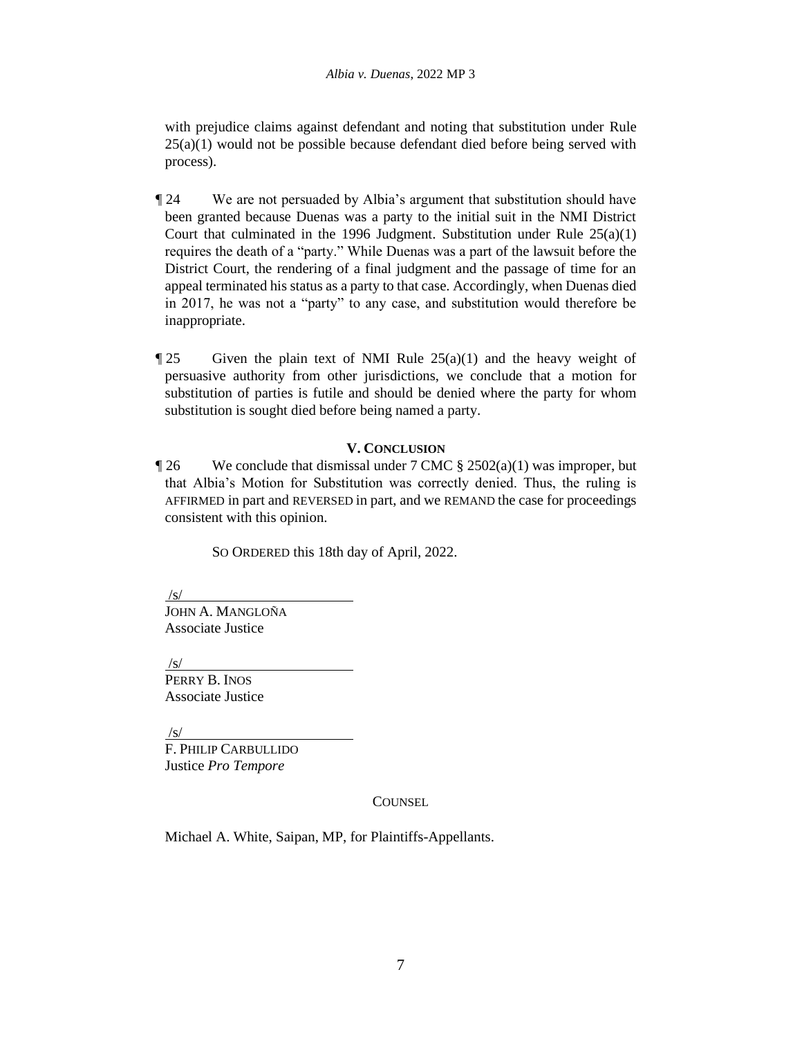with prejudice claims against defendant and noting that substitution under Rule  $25(a)(1)$  would not be possible because defendant died before being served with process).

- ¶ 24 We are not persuaded by Albia's argument that substitution should have been granted because Duenas was a party to the initial suit in the NMI District Court that culminated in the 1996 Judgment. Substitution under Rule  $25(a)(1)$ requires the death of a "party." While Duenas was a part of the lawsuit before the District Court, the rendering of a final judgment and the passage of time for an appeal terminated his status as a party to that case. Accordingly, when Duenas died in 2017, he was not a "party" to any case, and substitution would therefore be inappropriate.
- $\P$  25 Given the plain text of NMI Rule 25(a)(1) and the heavy weight of persuasive authority from other jurisdictions, we conclude that a motion for substitution of parties is futile and should be denied where the party for whom substitution is sought died before being named a party.

#### **V. CONCLUSION**

 $\degree$  126 We conclude that dismissal under 7 CMC  $\S$  2502(a)(1) was improper, but that Albia's Motion for Substitution was correctly denied. Thus, the ruling is AFFIRMED in part and REVERSED in part, and we REMAND the case for proceedings consistent with this opinion.

SO ORDERED this 18th day of April, 2022.

/s/

JOHN A. MANGLOÑA Associate Justice

/s/

PERRY B. INOS Associate Justice

/s/

F. PHILIP CARBULLIDO Justice *Pro Tempore*

#### **COUNSEL**

Michael A. White, Saipan, MP, for Plaintiffs-Appellants.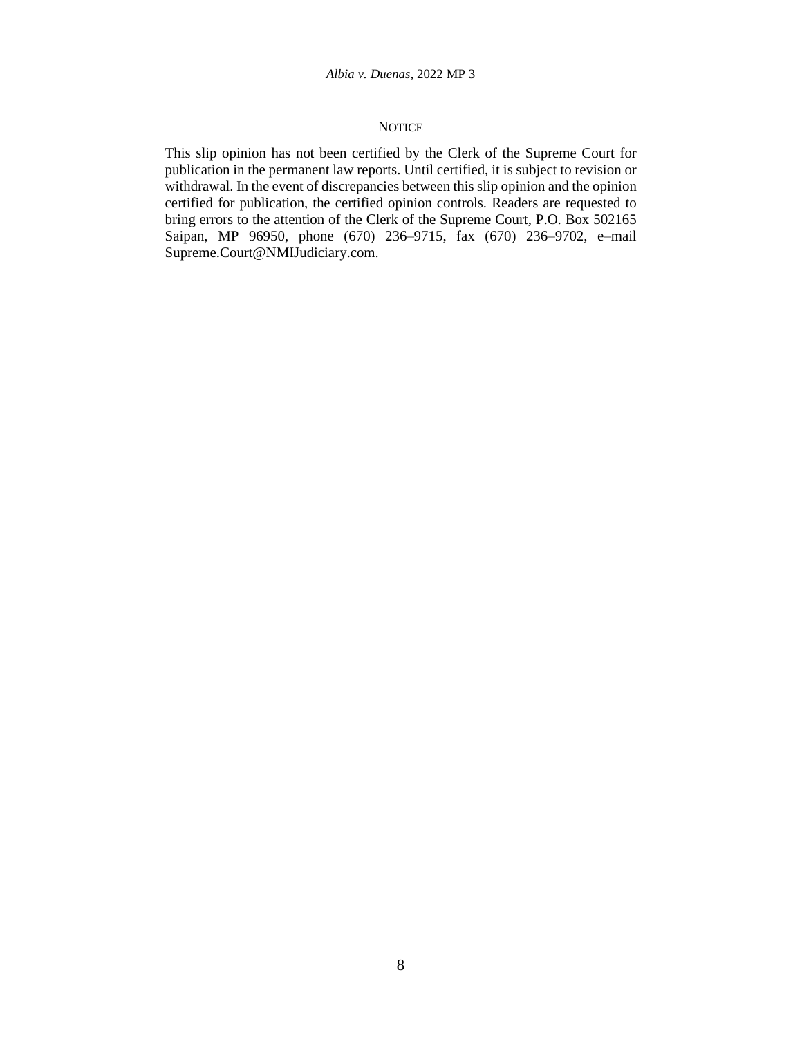#### **NOTICE**

This slip opinion has not been certified by the Clerk of the Supreme Court for publication in the permanent law reports. Until certified, it is subject to revision or withdrawal. In the event of discrepancies between this slip opinion and the opinion certified for publication, the certified opinion controls. Readers are requested to bring errors to the attention of the Clerk of the Supreme Court, P.O. Box 502165 Saipan, MP 96950, phone (670) 236–9715, fax (670) 236–9702, e–mail Supreme.Court@NMIJudiciary.com.